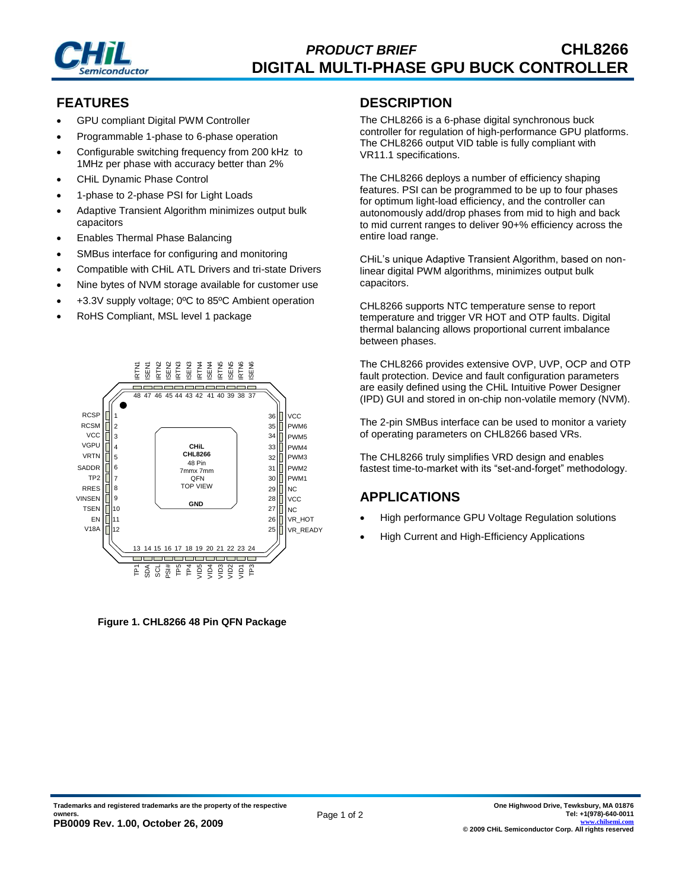

### **FEATURES**

- GPU compliant Digital PWM Controller
- Programmable 1-phase to 6-phase operation
- Configurable switching frequency from 200 kHz to 1MHz per phase with accuracy better than 2%
- CHiL Dynamic Phase Control
- 1-phase to 2-phase PSI for Light Loads
- Adaptive Transient Algorithm minimizes output bulk capacitors
- Enables Thermal Phase Balancing
- SMBus interface for configuring and monitoring
- Compatible with CHiL ATL Drivers and tri-state Drivers
- Nine bytes of NVM storage available for customer use
- +3.3V supply voltage; 0ºC to 85ºC Ambient operation
- RoHS Compliant, MSL level 1 package



**Figure 1. CHL8266 48 Pin QFN Package**

#### **DESCRIPTION**

The CHL8266 is a 6-phase digital synchronous buck controller for regulation of high-performance GPU platforms. The CHL8266 output VID table is fully compliant with VR11.1 specifications.

The CHL8266 deploys a number of efficiency shaping features. PSI can be programmed to be up to four phases for optimum light-load efficiency, and the controller can autonomously add/drop phases from mid to high and back to mid current ranges to deliver 90+% efficiency across the entire load range.

CHiL's unique Adaptive Transient Algorithm, based on nonlinear digital PWM algorithms, minimizes output bulk capacitors.

CHL8266 supports NTC temperature sense to report temperature and trigger VR HOT and OTP faults. Digital thermal balancing allows proportional current imbalance between phases.

The CHL8266 provides extensive OVP, UVP, OCP and OTP fault protection. Device and fault configuration parameters are easily defined using the CHiL Intuitive Power Designer (IPD) GUI and stored in on-chip non-volatile memory (NVM).

The 2-pin SMBus interface can be used to monitor a variety of operating parameters on CHL8266 based VRs.

The CHL8266 truly simplifies VRD design and enables fastest time-to-market with its "set-and-forget" methodology.

### **APPLICATIONS**

- High performance GPU Voltage Regulation solutions
- High Current and High-Efficiency Applications